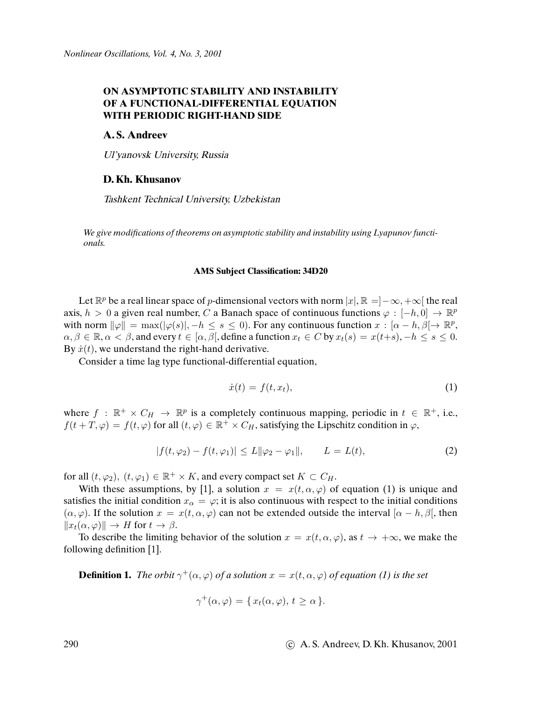# **ON ASYMPTOTIC STABILITY AND INSTABILITY OF A FUNCTIONAL-DIFFERENTIAL EQUATION WITH PERIODIC RIGHT-HAND SIDE**

## **A. S. Andreev**

Ul'yanovsk University, Russia

# **D. Kh. Khusanov**

Tashkent Technical University, Uzbekistan

We give modi*fi*cations of theorems on asymptotic stability and instability using Lyapunov functionals.

#### **AMS Subject Classification: 34D20**

Let  $\mathbb{R}^p$  be a real linear space of p-dimensional vectors with norm  $|x|, \mathbb{R} = ]-\infty, +\infty[$  the real axis,  $h > 0$  a given real number, C a Banach space of continuous functions  $\varphi : [-h, 0] \to \mathbb{R}^p$ with norm  $\|\varphi\| = \max(|\varphi(s)|, -h \le s \le 0)$ . For any continuous function  $x : [\alpha - h, \beta] \to \mathbb{R}^p$ ,  $\alpha, \beta \in \mathbb{R}, \alpha \leq \beta$ , and every  $t \in [\alpha, \beta]$ , define a function  $x_t \in C$  by  $x_t(s) = x(t+s), -h \leq s \leq 0$ . By  $\dot{x}(t)$ , we understand the right-hand derivative.

Consider a time lag type functional-differential equation,

$$
\dot{x}(t) = f(t, x_t),\tag{1}
$$

where  $f : \mathbb{R}^+ \times C_H \to \mathbb{R}^p$  is a completely continuous mapping, periodic in  $t \in \mathbb{R}^+$ , i.e.,  $f(t+T,\varphi) = f(t,\varphi)$  for all  $(t,\varphi) \in \mathbb{R}^+ \times C_H$ , satisfying the Lipschitz condition in  $\varphi$ ,

$$
|f(t, \varphi_2) - f(t, \varphi_1)| \le L \|\varphi_2 - \varphi_1\|, \qquad L = L(t),
$$
 (2)

for all  $(t, \varphi_2)$ ,  $(t, \varphi_1) \in \mathbb{R}^+ \times K$ , and every compact set  $K \subset C_H$ .

With these assumptions, by [1], a solution  $x = x(t, \alpha, \varphi)$  of equation (1) is unique and satisfies the initial condition  $x_{\alpha} = \varphi$ ; it is also continuous with respect to the initial conditions  $(\alpha, \varphi)$ . If the solution  $x = x(t, \alpha, \varphi)$  can not be extended outside the interval  $[\alpha - h, \beta]$ , then  $||x_t(\alpha, \varphi)|| \to H$  for  $t \to \beta$ .

To describe the limiting behavior of the solution  $x = x(t, \alpha, \varphi)$ , as  $t \to +\infty$ , we make the following definition [1].

**Definition 1.** The orbit  $\gamma^+(\alpha,\varphi)$  of a solution  $x = x(t,\alpha,\varphi)$  of equation (1) is the set

$$
\gamma^+(\alpha,\varphi) = \{ x_t(\alpha,\varphi), \, t \ge \alpha \}.
$$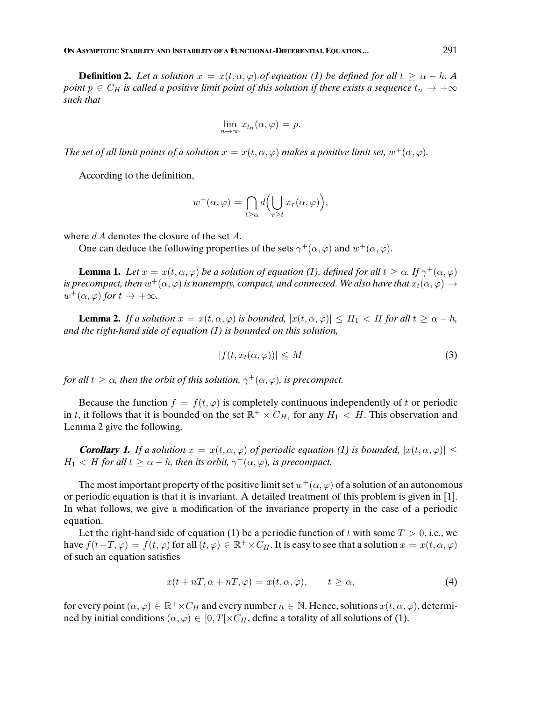**Definition 2.** Let a solution  $x = x(t, \alpha, \varphi)$  of equation (1) be defined for all  $t \ge \alpha - h$ . A point  $p \in C_H$  is called a positive limit point of this solution if there exists a sequence  $t_n \to +\infty$ such that

$$
\lim_{n \to \infty} x_{t_n}(\alpha, \varphi) = p.
$$

The set of all limit points of a solution  $x = x(t, \alpha, \varphi)$  makes a positive limit set,  $w^+(\alpha, \varphi)$ .

According to the definition,

$$
w^+(\alpha,\varphi) = \bigcap_{t \ge \alpha} d\Big(\bigcup_{\tau \ge t} x_\tau(\alpha,\varphi)\Big),\,
$$

where  $dA$  denotes the closure of the set  $A$ .

One can deduce the following properties of the sets  $\gamma^+(\alpha, \varphi)$  and  $w^+(\alpha, \varphi)$ .

**Lemma 1.** Let  $x = x(t, \alpha, \varphi)$  be a solution of equation (1), defined for all  $t \geq \alpha$ . If  $\gamma^+(\alpha, \varphi)$ is precompact, then  $w^+(\alpha,\varphi)$  is nonempty, compact, and connected. We also have that  $x_t(\alpha,\varphi)\to$  $w^+(\alpha,\varphi)$  for  $t \to +\infty$ .

**Lemma 2.** If a solution  $x = x(t, \alpha, \varphi)$  is bounded,  $|x(t, \alpha, \varphi)| \leq H_1 < H$  for all  $t \geq \alpha - h$ , and the right-hand side of equation (1) is bounded on this solution,

$$
|f(t, x_t(\alpha, \varphi))| \le M \tag{3}
$$

for all  $t \geq \alpha$ , then the orbit of this solution,  $\gamma^+(\alpha,\varphi)$ , is precompact.

Because the function  $f = f(t, \varphi)$  is completely continuous independently of t or periodic in t, it follows that it is bounded on the set  $\mathbb{R}^+ \times \overline{C}_{H_1}$  for any  $H_1 < H$ . This observation and Lemma 2 give the following.

**Corollary 1.** If a solution  $x = x(t, \alpha, \varphi)$  of periodic equation (1) is bounded,  $|x(t, \alpha, \varphi)| \leq$  $H_1 < H$  for all  $t \ge \alpha - h$ , then its orbit,  $\gamma^+(\alpha, \varphi)$ , is precompact.

The most important property of the positive limit set  $w^+(\alpha,\varphi)$  of a solution of an autonomous or periodic equation is that it is invariant. A detailed treatment of this problem is given in [1]. In what follows, we give a modification of the invariance property in the case of a periodic equation.

Let the right-hand side of equation (1) be a periodic function of t with some  $T > 0$ , i.e., we have  $f(t+T,\varphi) = f(t,\varphi)$  for all  $(t,\varphi) \in \mathbb{R}^+ \times C_H$ . It is easy to see that a solution  $x = x(t,\alpha,\varphi)$ of such an equation satisfies

$$
x(t + nT, \alpha + nT, \varphi) = x(t, \alpha, \varphi), \qquad t \ge \alpha,
$$
\n<sup>(4)</sup>

for every point  $(\alpha, \varphi) \in \mathbb{R}^+ \times C_H$  and every number  $n \in \mathbb{N}$ . Hence, solutions  $x(t, \alpha, \varphi)$ , determined by initial conditions  $(\alpha, \varphi) \in [0, T] \times C_H$ , define a totality of all solutions of (1).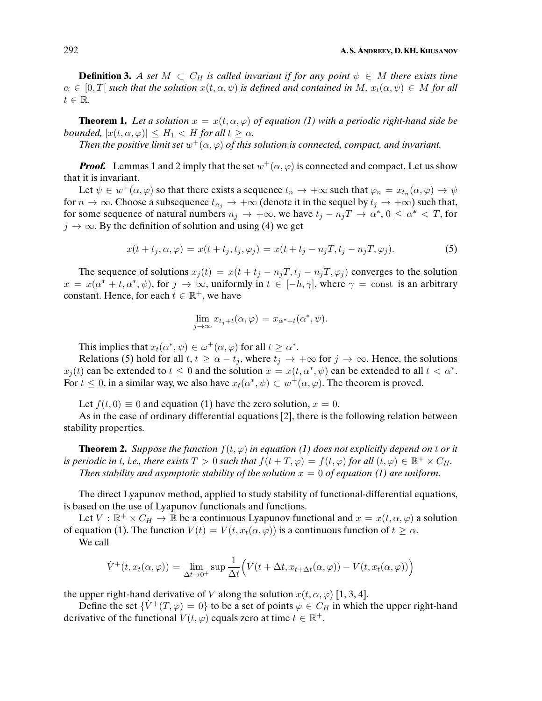**Definition 3.** A set  $M \text{ }\subset C_H$  is called invariant if for any point  $\psi \in M$  there exists time  $\alpha \in [0,T]$  such that the solution  $x(t,\alpha,\psi)$  is defined and contained in M,  $x_t(\alpha,\psi) \in M$  for all  $t \in \mathbb{R}$ .

**Theorem 1.** Let a solution  $x = x(t, \alpha, \varphi)$  of equation (1) with a periodic right-hand side be bounded,  $|x(t, \alpha, \varphi)| \leq H_1 < H$  for all  $t \geq \alpha$ .

Then the positive limit set  $w^+(\alpha,\varphi)$  of this solution is connected, compact, and invariant.

**Proof.** Lemmas 1 and 2 imply that the set  $w^+(\alpha, \varphi)$  is connected and compact. Let us show that it is invariant.

Let  $\psi \in w^+(\alpha, \varphi)$  so that there exists a sequence  $t_n \to +\infty$  such that  $\varphi_n = x_{t_n}(\alpha, \varphi) \to \psi$ for  $n \to \infty$ . Choose a subsequence  $t_{n_j} \to +\infty$  (denote it in the sequel by  $t_j \to +\infty$ ) such that, for some sequence of natural numbers  $n_j \to +\infty$ , we have  $t_j - n_j T \to \alpha^*$ ,  $0 \le \alpha^* < T$ , for  $j \rightarrow \infty$ . By the definition of solution and using (4) we get

$$
x(t+t_j,\alpha,\varphi) = x(t+t_j,t_j,\varphi_j) = x(t+t_j-n_jT,t_j-n_jT,\varphi_j). \tag{5}
$$

The sequence of solutions  $x_j(t) = x(t + t_j - n_jT, t_j - n_jT, \varphi_j)$  converges to the solution  $x = x(\alpha^* + t, \alpha^*, \psi)$ , for  $j \to \infty$ , uniformly in  $t \in [-h, \gamma]$ , where  $\gamma = \text{const}$  is an arbitrary constant. Hence, for each  $t \in \mathbb{R}^+$ , we have

$$
\lim_{j \to \infty} x_{t_j+t}(\alpha, \varphi) = x_{\alpha^*+t}(\alpha^*, \psi).
$$

This implies that  $x_t(\alpha^*, \psi) \in \omega^+(\alpha, \varphi)$  for all  $t \geq \alpha^*$ .

Relations (5) hold for all  $t, t \ge \alpha - t_j$ , where  $t_j \to +\infty$  for  $j \to \infty$ . Hence, the solutions  $x_j(t)$  can be extended to  $t \leq 0$  and the solution  $x = x(t, \alpha^*, \psi)$  can be extended to all  $t < \alpha^*$ . For  $t \leq 0$ , in a similar way, we also have  $x_t(\alpha^*, \psi) \subset w^+(\alpha, \varphi)$ . The theorem is proved.

Let  $f(t, 0) \equiv 0$  and equation (1) have the zero solution,  $x = 0$ .

As in the case of ordinary differential equations [2], there is the following relation between stability properties.

**Theorem 2.** Suppose the function  $f(t, \varphi)$  in equation (1) does not explicitly depend on t or it is periodic in t, i.e., there exists  $T > 0$  such that  $f(t + T, \varphi) = f(t, \varphi)$  for all  $(t, \varphi) \in \mathbb{R}^+ \times C_H$ . Then stability and asymptotic stability of the solution  $x = 0$  of equation (1) are uniform.

The direct Lyapunov method, applied to study stability of functional-differential equations, is based on the use of Lyapunov functionals and functions.

Let  $V : \mathbb{R}^+ \times C_H \to \mathbb{R}$  be a continuous Lyapunov functional and  $x = x(t, \alpha, \varphi)$  a solution of equation (1). The function  $V(t) = V(t, x_t(\alpha, \varphi))$  is a continuous function of  $t \geq \alpha$ .

We call

$$
\dot{V}^+(t, x_t(\alpha, \varphi)) = \lim_{\Delta t \to 0^+} \sup \frac{1}{\Delta t} \Big( V(t + \Delta t, x_{t + \Delta t}(\alpha, \varphi)) - V(t, x_t(\alpha, \varphi)) \Big)
$$

the upper right-hand derivative of V along the solution  $x(t, \alpha, \varphi)$  [1, 3, 4].

Define the set  $\{\dot{V}^+(T,\varphi) = 0\}$  to be a set of points  $\varphi \in C_H$  in which the upper right-hand derivative of the functional  $V(t, \varphi)$  equals zero at time  $t \in \mathbb{R}^+$ .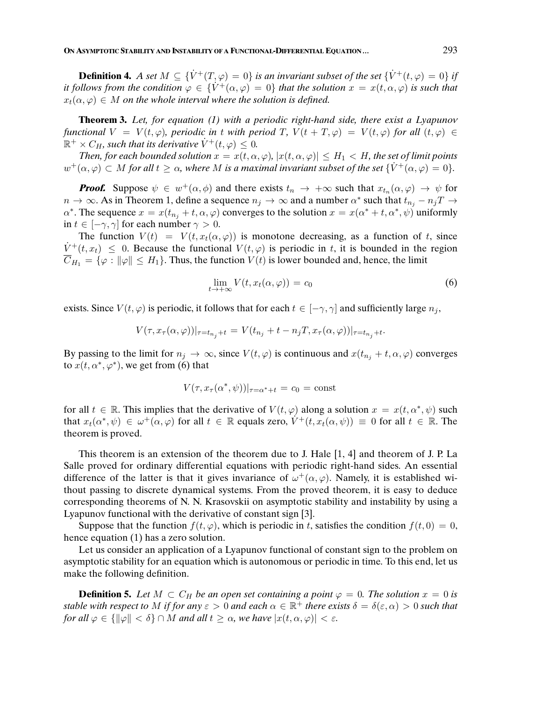**Definition 4.** A set  $M \subseteq \{V^+(T,\varphi) = 0\}$  is an invariant subset of the set  $\{V^+(t,\varphi) = 0\}$  if it follows from the condition  $\varphi \in {\hat V}^+(\alpha, \varphi) = 0$  that the solution  $x = x(t, \alpha, \varphi)$  is such that  $x_t(\alpha, \varphi) \in M$  on the whole interval where the solution is defined.

**Theorem 3.** Let, for equation (1) with a periodic right-hand side, there exist a Lyapunov functional  $V = V(t, \varphi)$ , periodic in t with period T,  $V(t + T, \varphi) = V(t, \varphi)$  for all  $(t, \varphi) \in$  $\mathbb{R}^+ \times C_H$ , such that its derivative  $\dot{V}^+(t,\varphi) \leq 0$ .

Then, for each bounded solution  $x = x(t, \alpha, \varphi)$ ,  $|x(t, \alpha, \varphi)| \leq H_1 < H$ , the set of limit points  $w^+(\alpha,\varphi) \subset M$  for all  $t \geq \alpha$ , where M is a maximal invariant subset of the set  $\{\dot{V}^+(\alpha,\varphi) = 0\}.$ 

**Proof.** Suppose  $\psi \in w^+(\alpha, \phi)$  and there exists  $t_n \to +\infty$  such that  $x_{t_n}(\alpha, \varphi) \to \psi$  for  $n \to \infty$ . As in Theorem 1, define a sequence  $n_j \to \infty$  and a number  $\alpha^*$  such that  $t_{n_j} - n_j T \to$  $\alpha^*$ . The sequence  $x = x(t_{n_j} + t, \alpha, \varphi)$  converges to the solution  $x = x(\alpha^* + t, \alpha^*, \psi)$  uniformly in  $t \in [-\gamma, \gamma]$  for each number  $\gamma > 0$ .

The function  $V(t) = V(t, x_t(\alpha, \varphi))$  is monotone decreasing, as a function of t, since  $V^+(t, x_t) \leq 0$ . Because the functional  $V(t, \varphi)$  is periodic in t, it is bounded in the region  $\overline{C}_{H_1} = \{\varphi : ||\varphi|| \leq H_1\}.$  Thus, the function  $V(t)$  is lower bounded and, hence, the limit

$$
\lim_{t \to +\infty} V(t, x_t(\alpha, \varphi)) = c_0 \tag{6}
$$

exists. Since  $V(t, \varphi)$  is periodic, it follows that for each  $t \in [-\gamma, \gamma]$  and sufficiently large  $n_j$ ,

$$
V(\tau, x_{\tau}(\alpha, \varphi))|_{\tau = t_{n_j} + t} = V(t_{n_j} + t - n_j T, x_{\tau}(\alpha, \varphi))|_{\tau = t_{n_j} + t}.
$$

By passing to the limit for  $n_j \to \infty$ , since  $V(t, \varphi)$  is continuous and  $x(t_{n_j} + t, \alpha, \varphi)$  converges to  $x(t, \alpha^*, \varphi^*)$ , we get from (6) that

$$
V(\tau, x_{\tau}(\alpha^*, \psi))|_{\tau = \alpha^* + t} = c_0 = \text{const}
$$

for all  $t \in \mathbb{R}$ . This implies that the derivative of  $V(t, \varphi)$  along a solution  $x = x(t, \alpha^*, \psi)$  such that  $x_t(\alpha^*, \psi) \in \omega^+(\alpha, \varphi)$  for all  $t \in \mathbb{R}$  equals zero,  $\dot{V}^+(t, x_t(\alpha, \psi)) \equiv 0$  for all  $t \in \mathbb{R}$ . The theorem is proved.

This theorem is an extension of the theorem due to J. Hale [1, 4] and theorem of J. P. La Salle proved for ordinary differential equations with periodic right-hand sides. An essential difference of the latter is that it gives invariance of  $\omega^+(\alpha,\varphi)$ . Namely, it is established without passing to discrete dynamical systems. From the proved theorem, it is easy to deduce corresponding theorems of N. N. Krasovskii on asymptotic stability and instability by using a Lyapunov functional with the derivative of constant sign [3].

Suppose that the function  $f(t, \varphi)$ , which is periodic in t, satisfies the condition  $f(t, 0) = 0$ , hence equation (1) has a zero solution.

Let us consider an application of a Lyapunov functional of constant sign to the problem on asymptotic stability for an equation which is autonomous or periodic in time. To this end, let us make the following definition.

**Definition 5.** Let  $M \subset C_H$  be an open set containing a point  $\varphi = 0$ . The solution  $x = 0$  is stable with respect to M if for any  $\varepsilon > 0$  and each  $\alpha \in \mathbb{R}^+$  there exists  $\delta = \delta(\varepsilon,\alpha) > 0$  such that for all  $\varphi \in {\{\|\varphi\| < \delta\}} \cap M$  and all  $t \geq \alpha$ , we have  $|x(t, \alpha, \varphi)| < \varepsilon$ .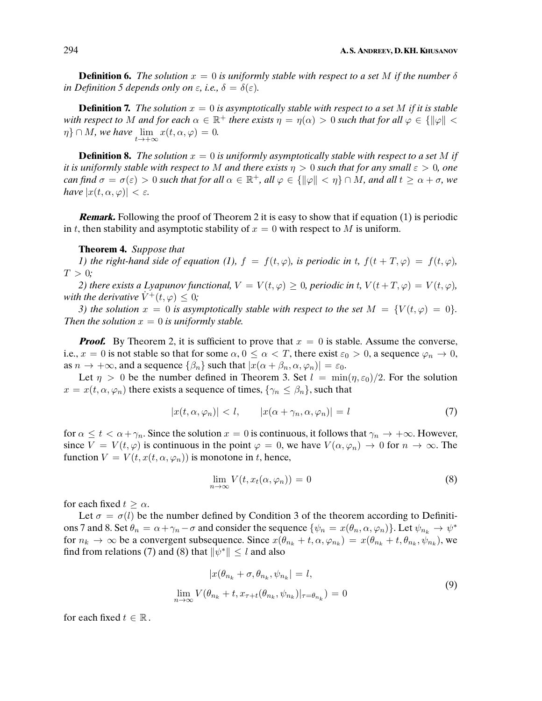**Definition 6.** The solution  $x = 0$  is uniformly stable with respect to a set M if the number  $\delta$ in Definition 5 depends only on  $\varepsilon$ , i.e.,  $\delta = \delta(\varepsilon)$ .

**Definition 7.** The solution  $x = 0$  is asymptotically stable with respect to a set M if it is stable with respect to M and for each  $\alpha \in \mathbb{R}^+$  there exists  $\eta = \eta(\alpha) > 0$  such that for all  $\varphi \in \{ \|\varphi\| < \pi \}$  $\eta\}\cap M$ , we have  $\lim_{t\to+\infty}x(t,\alpha,\varphi)=0$ .

**Definition 8.** The solution  $x = 0$  is uniformly asymptotically stable with respect to a set M if it is uniformly stable with respect to M and there exists  $\eta > 0$  such that for any small  $\varepsilon > 0$ , one can find  $\sigma = \sigma(\varepsilon) > 0$  such that for all  $\alpha \in \mathbb{R}^+$ , all  $\varphi \in {\{\|\varphi\| < \eta\}} \cap M$ , and all  $t \geq \alpha + \sigma$ , we have  $|x(t, \alpha, \varphi)| < \varepsilon$ .

**Remark.** Following the proof of Theorem 2 it is easy to show that if equation (1) is periodic in t, then stability and asymptotic stability of  $x = 0$  with respect to M is uniform.

### **Theorem 4.** Suppose that

1) the right-hand side of equation (1),  $f = f(t, \varphi)$ , is periodic in t,  $f(t + T, \varphi) = f(t, \varphi)$ ,  $T > 0$ ;

2) there exists a Lyapunov functional,  $V = V(t, \varphi) \geq 0$ , periodic in t,  $V(t + T, \varphi) = V(t, \varphi)$ , with the derivative  $\dot{V}^+(t, \varphi) \leq 0$ ;

3) the solution  $x = 0$  is asymptotically stable with respect to the set  $M = \{V(t, \varphi) = 0\}$ . Then the solution  $x = 0$  is uniformly stable.

**Proof.** By Theorem 2, it is sufficient to prove that  $x = 0$  is stable. Assume the converse, i.e.,  $x = 0$  is not stable so that for some  $\alpha, 0 \le \alpha < T$ , there exist  $\varepsilon_0 > 0$ , a sequence  $\varphi_n \to 0$ , as  $n \to +\infty$ , and a sequence  $\{\beta_n\}$  such that  $|x(\alpha + \beta_n, \alpha, \varphi_n)| = \varepsilon_0$ .

Let  $\eta > 0$  be the number defined in Theorem 3. Set  $l = \min(\eta, \varepsilon_0)/2$ . For the solution  $x = x(t, \alpha, \varphi_n)$  there exists a sequence of times,  $\{\gamma_n \leq \beta_n\}$ , such that

$$
|x(t, \alpha, \varphi_n)| < l, \qquad |x(\alpha + \gamma_n, \alpha, \varphi_n)| = l \tag{7}
$$

for  $\alpha \leq t < \alpha + \gamma_n$ . Since the solution  $x = 0$  is continuous, it follows that  $\gamma_n \to +\infty$ . However, since  $V = V(t, \varphi)$  is continuous in the point  $\varphi = 0$ , we have  $V(\alpha, \varphi_n) \to 0$  for  $n \to \infty$ . The function  $V = V(t, x(t, \alpha, \varphi_n))$  is monotone in t, hence,

$$
\lim_{n \to \infty} V(t, x_t(\alpha, \varphi_n)) = 0 \tag{8}
$$

for each fixed  $t > \alpha$ .

Let  $\sigma = \sigma(l)$  be the number defined by Condition 3 of the theorem according to Definitions 7 and 8. Set  $\theta_n = \alpha + \gamma_n - \sigma$  and consider the sequence  $\{\psi_n = x(\theta_n, \alpha, \varphi_n)\}\)$ . Let  $\psi_{n_k} \to \psi^*$ for  $n_k \to \infty$  be a convergent subsequence. Since  $x(\theta_{n_k} + t, \alpha, \varphi_{n_k}) = x(\theta_{n_k} + t, \theta_{n_k}, \psi_{n_k})$ , we find from relations (7) and (8) that  $\|\psi^*\| \leq l$  and also

$$
|x(\theta_{n_k} + \sigma, \theta_{n_k}, \psi_{n_k}| = l,\n\lim_{n \to \infty} V(\theta_{n_k} + t, x_{\tau + t}(\theta_{n_k}, \psi_{n_k})|_{\tau = \theta_{n_k}}) = 0
$$
\n(9)

for each fixed  $t \in \mathbb{R}$ .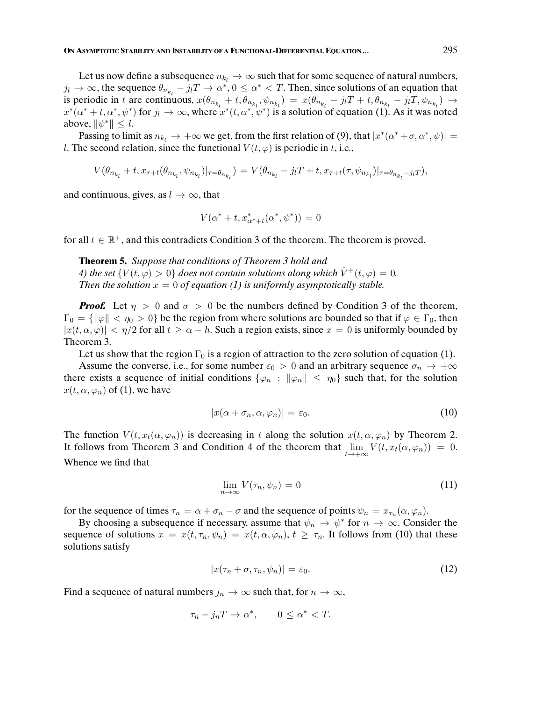Let us now define a subsequence  $n_{k_l} \rightarrow \infty$  such that for some sequence of natural numbers,  $j_l \to \infty$ , the sequence  $\theta_{n_{k_l}} - j_l T \to \alpha^*$ ,  $0 \leq \alpha^* < T$ . Then, since solutions of an equation that is periodic in t are continuous,  $x(\theta_{n_{k_l}} + t, \theta_{n_{k_l}}, \psi_{n_{k_l}}) = x(\theta_{n_{k_l}} - j_lT + t, \theta_{n_{k_l}} - j_lT, \psi_{n_{k_l}}) \rightarrow$  $x^*(\alpha^*+t,\alpha^*,\psi^*)$  for  $j_l\to\infty$ , where  $x^*(t,\alpha^*,\psi^*)$  is a solution of equation (1). As it was noted above,  $\|\psi^*\| \leq l$ .

Passing to limit as  $n_{k_l} \to +\infty$  we get, from the first relation of (9), that  $|x^*(\alpha^* + \sigma, \alpha^*, \psi)| =$ l. The second relation, since the functional  $V(t, \varphi)$  is periodic in t, i.e.,

$$
V(\theta_{n_{k_l}}+t,x_{\tau+t}(\theta_{n_{k_l}},\psi_{n_{k_l}})|_{\tau=\theta_{n_{k_l}}})=V(\theta_{n_{k_l}}-j_lT+t,x_{\tau+t}(\tau,\psi_{n_{k_l}})|_{\tau=\theta_{n_{k_l}}-j_lT}),
$$

and continuous, gives, as  $l \to \infty$ , that

$$
V(\alpha^* + t, x_{\alpha^* + t}^*(\alpha^*, \psi^*)) = 0
$$

for all  $t \in \mathbb{R}^+$ , and this contradicts Condition 3 of the theorem. The theorem is proved.

**Theorem 5.** Suppose that conditions of Theorem 3 hold and 4) the set  $\{V(t,\varphi) > 0\}$  does not contain solutions along which  $\dot{V}^+(t,\varphi) = 0$ . Then the solution  $x = 0$  of equation (1) is uniformly asymptotically stable.

**Proof.** Let  $\eta > 0$  and  $\sigma > 0$  be the numbers defined by Condition 3 of the theorem,  $\Gamma_0 = \{\|\varphi\| < \eta_0 > 0\}$  be the region from where solutions are bounded so that if  $\varphi \in \Gamma_0$ , then  $|x(t, \alpha, \varphi)| < \eta/2$  for all  $t \ge \alpha - h$ . Such a region exists, since  $x = 0$  is uniformly bounded by Theorem 3.

Let us show that the region  $\Gamma_0$  is a region of attraction to the zero solution of equation (1).

Assume the converse, i.e., for some number  $\varepsilon_0 > 0$  and an arbitrary sequence  $\sigma_n \to +\infty$ there exists a sequence of initial conditions  $\{\varphi_n : \|\varphi_n\| \leq \eta_0\}$  such that, for the solution  $x(t, \alpha, \varphi_n)$  of (1), we have

$$
|x(\alpha + \sigma_n, \alpha, \varphi_n)| = \varepsilon_0. \tag{10}
$$

The function  $V(t, x_t(\alpha, \varphi_n))$  is decreasing in t along the solution  $x(t, \alpha, \varphi_n)$  by Theorem 2. It follows from Theorem 3 and Condition 4 of the theorem that  $\lim_{t\to+\infty} V(t, x_t(\alpha, \varphi_n)) = 0$ . Whence we find that

$$
\lim_{n \to \infty} V(\tau_n, \psi_n) = 0 \tag{11}
$$

for the sequence of times  $\tau_n = \alpha + \sigma_n - \sigma$  and the sequence of points  $\psi_n = x_{\tau_n}(\alpha, \varphi_n)$ .

By choosing a subsequence if necessary, assume that  $\psi_n \to \psi^*$  for  $n \to \infty$ . Consider the sequence of solutions  $x = x(t, \tau_n, \psi_n) = x(t, \alpha, \varphi_n), t \geq \tau_n$ . It follows from (10) that these solutions satisfy

$$
|x(\tau_n + \sigma, \tau_n, \psi_n)| = \varepsilon_0. \tag{12}
$$

Find a sequence of natural numbers  $j_n \to \infty$  such that, for  $n \to \infty$ ,

$$
\tau_n - j_n T \to \alpha^*, \qquad 0 \le \alpha^* < T.
$$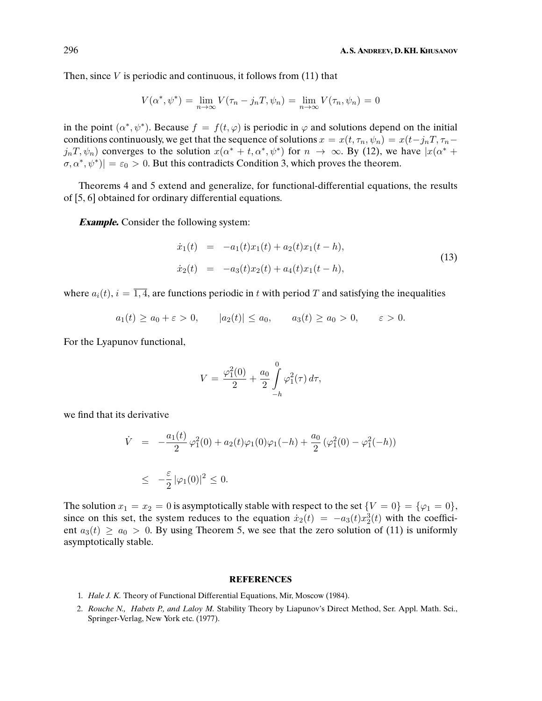Then, since  $V$  is periodic and continuous, it follows from  $(11)$  that

$$
V(\alpha^*, \psi^*) = \lim_{n \to \infty} V(\tau_n - j_n T, \psi_n) = \lim_{n \to \infty} V(\tau_n, \psi_n) = 0
$$

in the point  $(\alpha^*, \psi^*)$ . Because  $f = f(t, \varphi)$  is periodic in  $\varphi$  and solutions depend on the initial conditions continuously, we get that the sequence of solutions  $x = x(t, \tau_n, \psi_n) = x(t-j_nT, \tau_n-\psi_n)$  $j_nT, \psi_n$ ) converges to the solution  $x(\alpha^* + t, \alpha^*, \psi^*)$  for  $n \to \infty$ . By (12), we have  $|x(\alpha^* + t, \alpha^*, \psi^*)|$  $[\sigma, \alpha^*, \psi^*] = \varepsilon_0 > 0$ . But this contradicts Condition 3, which proves the theorem.

Theorems 4 and 5 extend and generalize, for functional-differential equations, the results of [5, 6] obtained for ordinary differential equations.

**Example.** Consider the following system:

$$
\dot{x}_1(t) = -a_1(t)x_1(t) + a_2(t)x_1(t-h),
$$
  
\n
$$
\dot{x}_2(t) = -a_3(t)x_2(t) + a_4(t)x_1(t-h),
$$
\n(13)

where  $a_i(t)$ ,  $i = \overline{1, 4}$ , are functions periodic in t with period T and satisfying the inequalities

$$
a_1(t) \ge a_0 + \varepsilon > 0, \qquad |a_2(t)| \le a_0, \qquad a_3(t) \ge a_0 > 0, \qquad \varepsilon > 0.
$$

For the Lyapunov functional,

$$
V = \frac{\varphi_1^2(0)}{2} + \frac{a_0}{2} \int\limits_{-h}^{0} \varphi_1^2(\tau) d\tau,
$$

we find that its derivative

$$
\dot{V} = -\frac{a_1(t)}{2} \varphi_1^2(0) + a_2(t)\varphi_1(0)\varphi_1(-h) + \frac{a_0}{2} (\varphi_1^2(0) - \varphi_1^2(-h))
$$
\n
$$
\leq -\frac{\varepsilon}{2} |\varphi_1(0)|^2 \leq 0.
$$

The solution  $x_1 = x_2 = 0$  is asymptotically stable with respect to the set  $\{V = 0\} = \{\varphi_1 = 0\},\$ since on this set, the system reduces to the equation  $\dot{x}_2(t) = -a_3(t)x_2^3(t)$  with the coefficient  $a_3(t) \ge a_0 > 0$ . By using Theorem 5, we see that the zero solution of (11) is uniformly asymptotically stable.

#### **REFERENCES**

- 1. Hale J. K. Theory of Functional Differential Equations, Mir, Moscow (1984).
- 2. Rouche N., Habets P., and Laloy M. Stability Theory by Liapunov's Direct Method, Ser. Appl. Math. Sci., Springer-Verlag, New York etc. (1977).